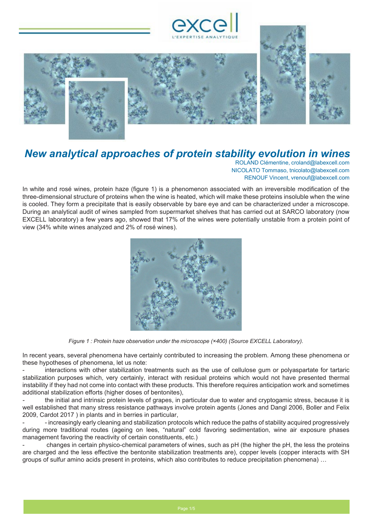



# *New analytical approaches of protein stability evolution in wines*

ROLAND Clémentine, [croland@labexcell.com](mailto:croland@labexcell.com) NICOLATO Tommaso[, tnicolato@labexcell.com](mailto:tnicolato@labexcell.com) RENOUF Vincent, [vrenouf@labexcell.com](mailto:vrenouf@labexcell.com)

In white and rosé wines, protein haze (figure 1) is a phenomenon associated with an irreversible modification of the three-dimensional structure of proteins when the wine is heated, which will make these proteins insoluble when the wine is cooled. They form a precipitate that is easily observable by bare eye and can be characterized under a microscope. During an analytical audit of wines sampled from supermarket shelves that has carried out at SARCO laboratory (now EXCELL laboratory) a few years ago, showed that 17% of the wines were potentially unstable from a protein point of view (34% white wines analyzed and 2% of rosé wines).



*Figure 1 : Protein haze observation under the microscope (×400) (Source EXCELL Laboratory).*

In recent years, several phenomena have certainly contributed to increasing the problem. Among these phenomena or these hypotheses of phenomena, let us note:

interactions with other stabilization treatments such as the use of cellulose gum or polyaspartate for tartaric stabilization purposes which, very certainly, interact with residual proteins which would not have presented thermal instability if they had not come into contact with these products. This therefore requires anticipation work and sometimes additional stabilization efforts (higher doses of bentonites),

*-* the initial and intrinsic protein levels of grapes, in particular due to water and cryptogamic stress, because it is well established that many stress resistance pathways involve protein agents (Jones and Dangl 2006, Boller and Felix 2009, Cardot 2017 ) in plants and in berries in particular,

- increasingly early cleaning and stabilization protocols which reduce the paths of stability acquired progressively during more traditional routes (ageing on lees, "natural" cold favoring sedimentation, wine air exposure phases management favoring the reactivity of certain constituents, etc.)

- changes in certain physico-chemical parameters of wines, such as pH (the higher the pH, the less the proteins are charged and the less effective the bentonite stabilization treatments are), copper levels (copper interacts with SH groups of sulfur amino acids present in proteins, which also contributes to reduce precipitation phenomena) …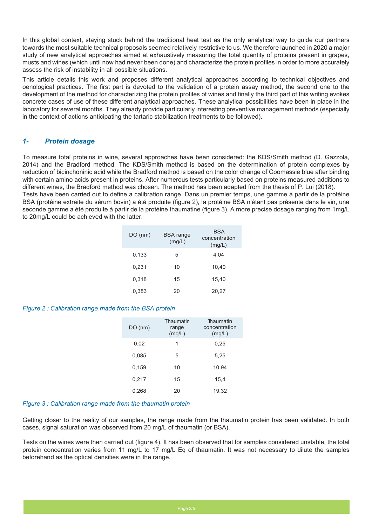In this global context, staying stuck behind the traditional heat test as the only analytical way to guide our partners towards the most suitable technical proposals seemed relatively restrictive to us. We therefore launched in 2020 a major study of new analytical approaches aimed at exhaustively measuring the total quantity of proteins present in grapes, musts and wines (which until now had never been done) and characterize the protein profiles in order to more accurately assess the risk of instability in all possible situations.

This article details this work and proposes different analytical approaches according to technical objectives and oenological practices. The first part is devoted to the validation of a protein assay method, the second one to the development of the method for characterizing the protein profiles of wines and finally the third part of this writing evokes concrete cases of use of these different analytical approaches. These analytical possibilities have been in place in the laboratory for several months. They already provide particularly interesting preventive management methods (especially in the context of actions anticipating the tartaric stabilization treatments to be followed).

## *1- Protein dosage*

To measure total proteins in wine, several approaches have been considered: the KDS/Smith method (D. Gazzola, 2014) and the Bradford method. The KDS/Smith method is based on the determination of protein complexes by reduction of bicinchoninic acid while the Bradford method is based on the color change of Coomassie blue after binding with certain amino acids present in proteins. After numerous tests particularly based on proteins measured additions to different wines, the Bradford method was chosen. The method has been adapted from the thesis of P. Lui (2018). Tests have been carried out to define a calibration range. Dans un premier temps, une gamme à partir de la protéine BSA (protéine extraite du sérum bovin) a été produite (figure 2), la protéine BSA n'étant pas présente dans le vin, une seconde gamme a été produite à partir de la protéine thaumatine (figure 3). A more precise dosage ranging from 1mg/L to 20mg/L could be achieved with the latter.

| $DO$ (nm) | <b>BSA</b> range<br>(mg/L) | <b>BSA</b><br>concentration<br>(mg/L) |
|-----------|----------------------------|---------------------------------------|
| 0.133     | 5                          | 4.04                                  |
| 0,231     | 10                         | 10,40                                 |
| 0,318     | 15                         | 15,40                                 |
| 0.383     | 20                         | 20,27                                 |

#### *Figure 2 : Calibration range made from the BSA protein*

| DO(nm) | Thaumatin<br>range<br>(mg/L) | Thaumatin<br>concentration<br>(mg/L) |
|--------|------------------------------|--------------------------------------|
| 0,02   | 1                            | 0,25                                 |
| 0,085  | 5                            | 5,25                                 |
| 0.159  | 10                           | 10.94                                |
| 0,217  | 15                           | 15,4                                 |
| 0,268  | 20                           | 19,32                                |

#### *Figure 3 : Calibration range made from the thaumatin protein*

Getting closer to the reality of our samples, the range made from the thaumatin protein has been validated. In both cases, signal saturation was observed from 20 mg/L of thaumatin (or BSA).

Tests on the wines were then carried out (figure 4). It has been observed that for samples considered unstable, the total protein concentration varies from 11 mg/L to 17 mg/L Eq of thaumatin. It was not necessary to dilute the samples beforehand as the optical densities were in the range.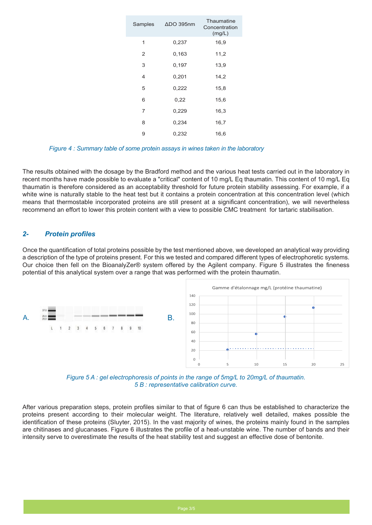| Samples | $\Delta$ DO 395nm | Thaumatine<br>Concentration<br>(mg/L) |
|---------|-------------------|---------------------------------------|
| 1       | 0,237             | 16,9                                  |
| 2       | 0,163             | 11,2                                  |
| 3       | 0,197             | 13,9                                  |
| 4       | 0,201             | 14,2                                  |
| 5       | 0,222             | 15,8                                  |
| 6       | 0,22              | 15,6                                  |
| 7       | 0,229             | 16,3                                  |
| 8       | 0,234             | 16,7                                  |
| 9       | 0,232             | 16,6                                  |

*Figure 4 : Summary table of some protein assays in wines taken in the laboratory* 

The results obtained with the dosage by the Bradford method and the various heat tests carried out in the laboratory in recent months have made possible to evaluate a "critical" content of 10 mg/L Eq thaumatin. This content of 10 mg/L Eq thaumatin is therefore considered as an acceptability threshold for future protein stability assessing. For example, if a white wine is naturally stable to the heat test but it contains a protein concentration at this concentration level (which means that thermostable incorporated proteins are still present at a significant concentration), we will nevertheless recommend an effort to lower this protein content with a view to possible CMC treatment for tartaric stabilisation.

### *2- Protein profiles*

Once the quantification of total proteins possible by the test mentioned above, we developed an analytical way providing a description of the type of proteins present. For this we tested and compared different types of electrophoretic systems. Our choice then fell on the BioanalyZer® system offered by the Agilent company. Figure 5 illustrates the fineness potential of this analytical system over a range that was performed with the protein thaumatin.





After various preparation steps, protein profiles similar to that of figure 6 can thus be established to characterize the proteins present according to their molecular weight. The literature, relatively well detailed, makes possible the identification of these proteins (Sluyter, 2015). In the vast majority of wines, the proteins mainly found in the samples are chitinases and glucanases. Figure 6 illustrates the profile of a heat-unstable wine. The number of bands and their intensity serve to overestimate the results of the heat stability test and suggest an effective dose of bentonite.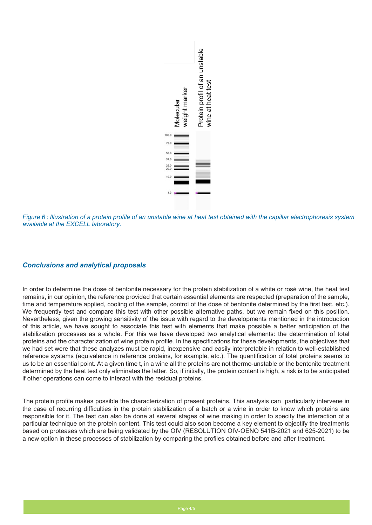

*Figure 6 : Illustration of a protein profile of an unstable wine at heat test obtained with the capillar electrophoresis system available at the EXCELL laboratory.*

## *Conclusions and analytical proposals*

In order to determine the dose of bentonite necessary for the protein stabilization of a white or rosé wine, the heat test remains, in our opinion, the reference provided that certain essential elements are respected (preparation of the sample, time and temperature applied, cooling of the sample, control of the dose of bentonite determined by the first test, etc.). We frequently test and compare this test with other possible alternative paths, but we remain fixed on this position. Nevertheless, given the growing sensitivity of the issue with regard to the developments mentioned in the introduction of this article, we have sought to associate this test with elements that make possible a better anticipation of the stabilization processes as a whole. For this we have developed two analytical elements: the determination of total proteins and the characterization of wine protein profile. In the specifications for these developments, the objectives that we had set were that these analyzes must be rapid, inexpensive and easily interpretable in relation to well-established reference systems (equivalence in reference proteins, for example, etc.). The quantification of total proteins seems to us to be an essential point. At a given time t, in a wine all the proteins are not thermo-unstable or the bentonite treatment determined by the heat test only eliminates the latter. So, if initially, the protein content is high, a risk is to be anticipated if other operations can come to interact with the residual proteins.

The protein profile makes possible the characterization of present proteins. This analysis can particularly intervene in the case of recurring difficulties in the protein stabilization of a batch or a wine in order to know which proteins are responsible for it. The test can also be done at several stages of wine making in order to specify the interaction of a particular technique on the protein content. This test could also soon become a key element to objectify the treatments based on proteases which are being validated by the OIV (RESOLUTION OIV-OENO 541B-2021 and 625-2021) to be a new option in these processes of stabilization by comparing the profiles obtained before and after treatment.